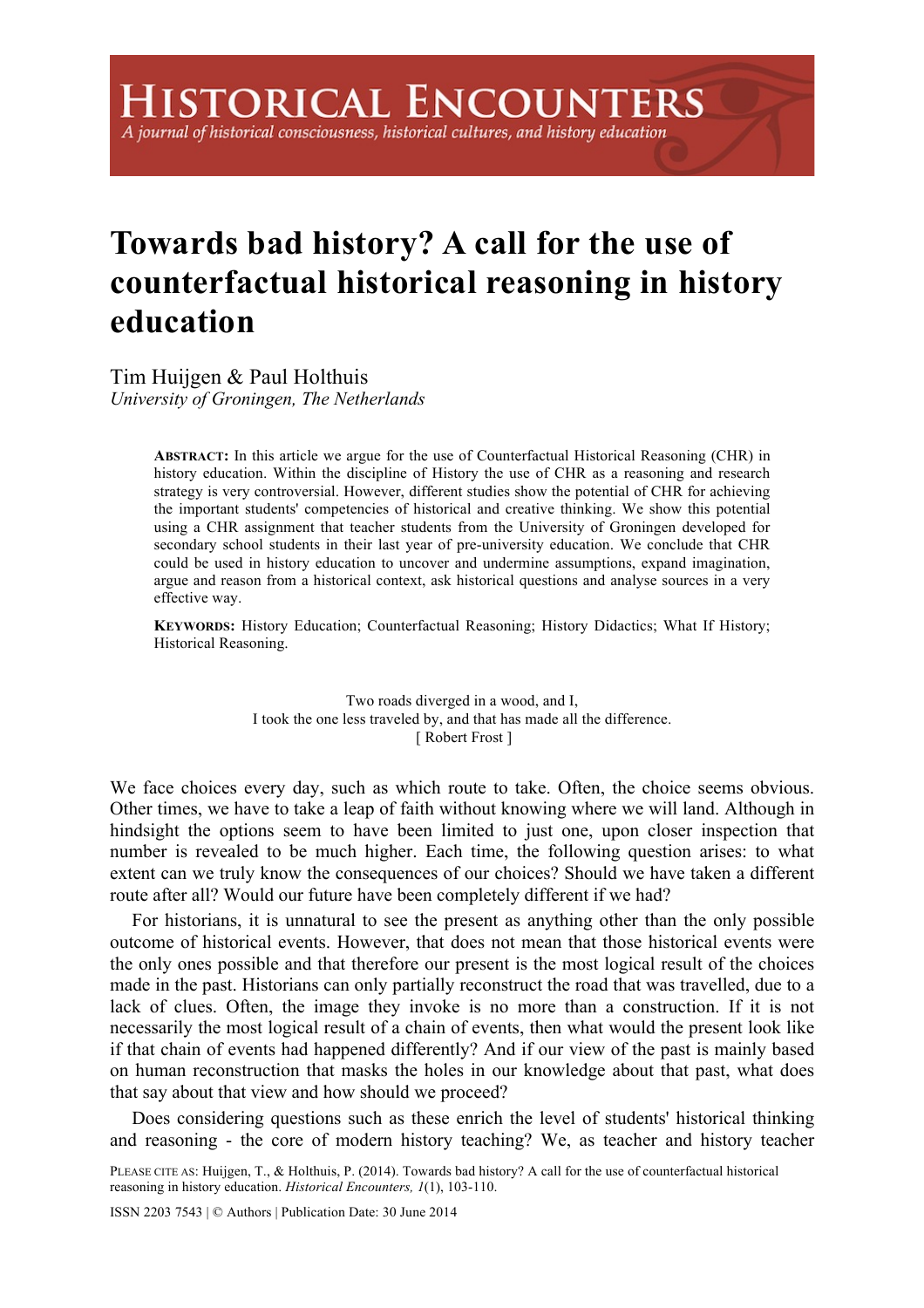# A journal of historical consciousness, historical cultures, and history education

# **Towards bad history? A call for the use of counterfactual historical reasoning in history education**

Tim Huijgen & Paul Holthuis *University of Groningen, The Netherlands* 

> **ABSTRACT:** In this article we argue for the use of Counterfactual Historical Reasoning (CHR) in history education. Within the discipline of History the use of CHR as a reasoning and research strategy is very controversial. However, different studies show the potential of CHR for achieving the important students' competencies of historical and creative thinking. We show this potential using a CHR assignment that teacher students from the University of Groningen developed for secondary school students in their last year of pre-university education. We conclude that CHR could be used in history education to uncover and undermine assumptions, expand imagination, argue and reason from a historical context, ask historical questions and analyse sources in a very effective way.

> **KEYWORDS:** History Education; Counterfactual Reasoning; History Didactics; What If History; Historical Reasoning.

> > Two roads diverged in a wood, and I, I took the one less traveled by, and that has made all the difference. [ Robert Frost ]

We face choices every day, such as which route to take. Often, the choice seems obvious. Other times, we have to take a leap of faith without knowing where we will land. Although in hindsight the options seem to have been limited to just one, upon closer inspection that number is revealed to be much higher. Each time, the following question arises: to what extent can we truly know the consequences of our choices? Should we have taken a different route after all? Would our future have been completely different if we had?

For historians, it is unnatural to see the present as anything other than the only possible outcome of historical events. However, that does not mean that those historical events were the only ones possible and that therefore our present is the most logical result of the choices made in the past. Historians can only partially reconstruct the road that was travelled, due to a lack of clues. Often, the image they invoke is no more than a construction. If it is not necessarily the most logical result of a chain of events, then what would the present look like if that chain of events had happened differently? And if our view of the past is mainly based on human reconstruction that masks the holes in our knowledge about that past, what does that say about that view and how should we proceed?

Does considering questions such as these enrich the level of students' historical thinking and reasoning - the core of modern history teaching? We, as teacher and history teacher

PLEASE CITE AS: Huijgen, T., & Holthuis, P. (2014). Towards bad history? A call for the use of counterfactual historical reasoning in history education. *Historical Encounters, 1*(1), 103-110.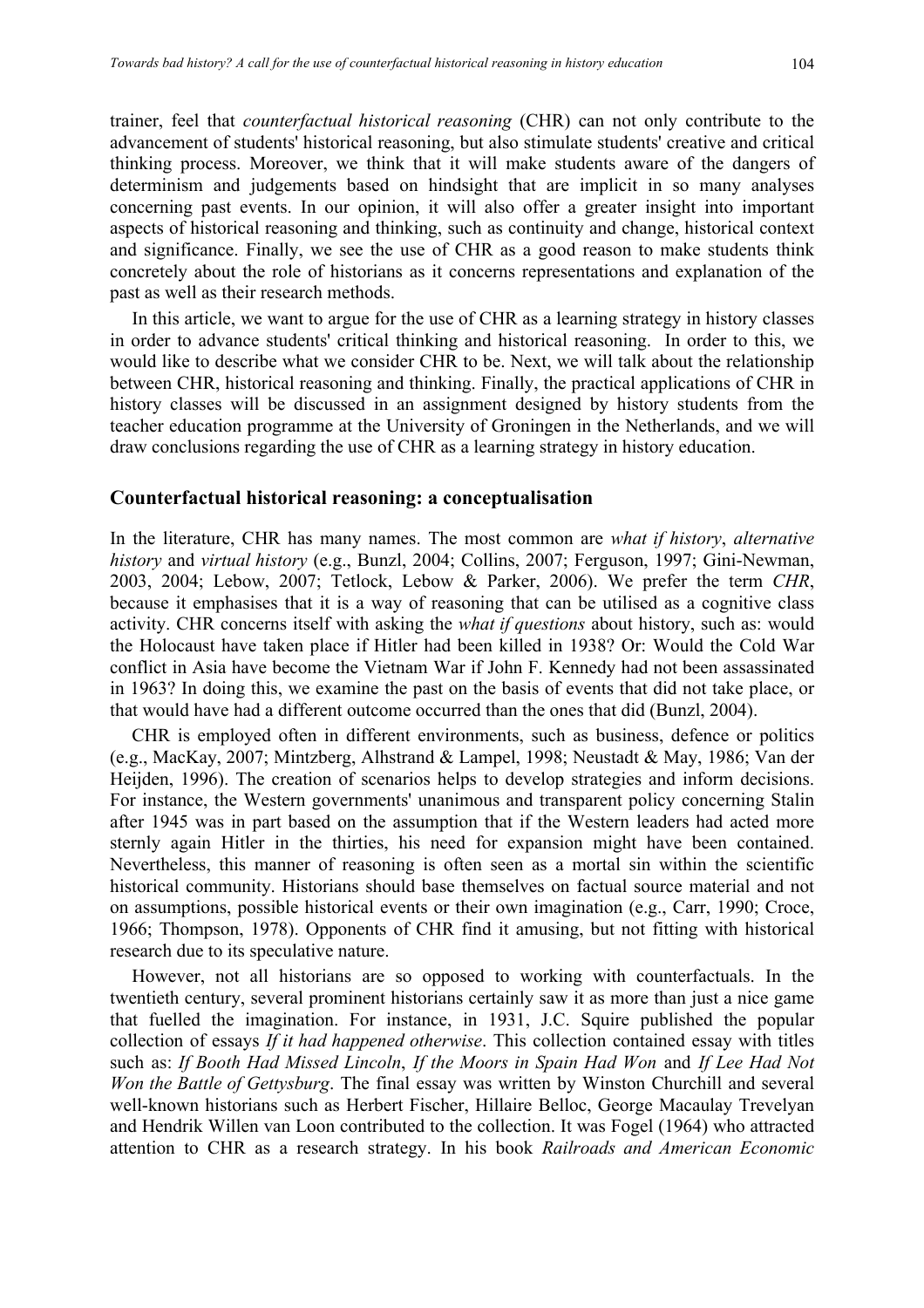trainer, feel that *counterfactual historical reasoning* (CHR) can not only contribute to the advancement of students' historical reasoning, but also stimulate students' creative and critical thinking process. Moreover, we think that it will make students aware of the dangers of determinism and judgements based on hindsight that are implicit in so many analyses concerning past events. In our opinion, it will also offer a greater insight into important aspects of historical reasoning and thinking, such as continuity and change, historical context and significance. Finally, we see the use of CHR as a good reason to make students think concretely about the role of historians as it concerns representations and explanation of the past as well as their research methods.

In this article, we want to argue for the use of CHR as a learning strategy in history classes in order to advance students' critical thinking and historical reasoning. In order to this, we would like to describe what we consider CHR to be. Next, we will talk about the relationship between CHR, historical reasoning and thinking. Finally, the practical applications of CHR in history classes will be discussed in an assignment designed by history students from the teacher education programme at the University of Groningen in the Netherlands, and we will draw conclusions regarding the use of CHR as a learning strategy in history education.

#### **Counterfactual historical reasoning: a conceptualisation**

In the literature, CHR has many names. The most common are *what if history*, *alternative history* and *virtual history* (e.g., Bunzl, 2004; Collins, 2007; Ferguson, 1997; Gini-Newman, 2003, 2004; Lebow, 2007; Tetlock, Lebow & Parker, 2006). We prefer the term *CHR*, because it emphasises that it is a way of reasoning that can be utilised as a cognitive class activity. CHR concerns itself with asking the *what if questions* about history, such as: would the Holocaust have taken place if Hitler had been killed in 1938? Or: Would the Cold War conflict in Asia have become the Vietnam War if John F. Kennedy had not been assassinated in 1963? In doing this, we examine the past on the basis of events that did not take place, or that would have had a different outcome occurred than the ones that did (Bunzl, 2004).

CHR is employed often in different environments, such as business, defence or politics (e.g., MacKay, 2007; Mintzberg, Alhstrand & Lampel, 1998; Neustadt & May, 1986; Van der Heijden, 1996). The creation of scenarios helps to develop strategies and inform decisions. For instance, the Western governments' unanimous and transparent policy concerning Stalin after 1945 was in part based on the assumption that if the Western leaders had acted more sternly again Hitler in the thirties, his need for expansion might have been contained. Nevertheless, this manner of reasoning is often seen as a mortal sin within the scientific historical community. Historians should base themselves on factual source material and not on assumptions, possible historical events or their own imagination (e.g., Carr, 1990; Croce, 1966; Thompson, 1978). Opponents of CHR find it amusing, but not fitting with historical research due to its speculative nature.

However, not all historians are so opposed to working with counterfactuals. In the twentieth century, several prominent historians certainly saw it as more than just a nice game that fuelled the imagination. For instance, in 1931, J.C. Squire published the popular collection of essays *If it had happened otherwise*. This collection contained essay with titles such as: *If Booth Had Missed Lincoln*, *If the Moors in Spain Had Won* and *If Lee Had Not Won the Battle of Gettysburg*. The final essay was written by Winston Churchill and several well-known historians such as Herbert Fischer, Hillaire Belloc, George Macaulay Trevelyan and Hendrik Willen van Loon contributed to the collection. It was Fogel (1964) who attracted attention to CHR as a research strategy. In his book *Railroads and American Economic*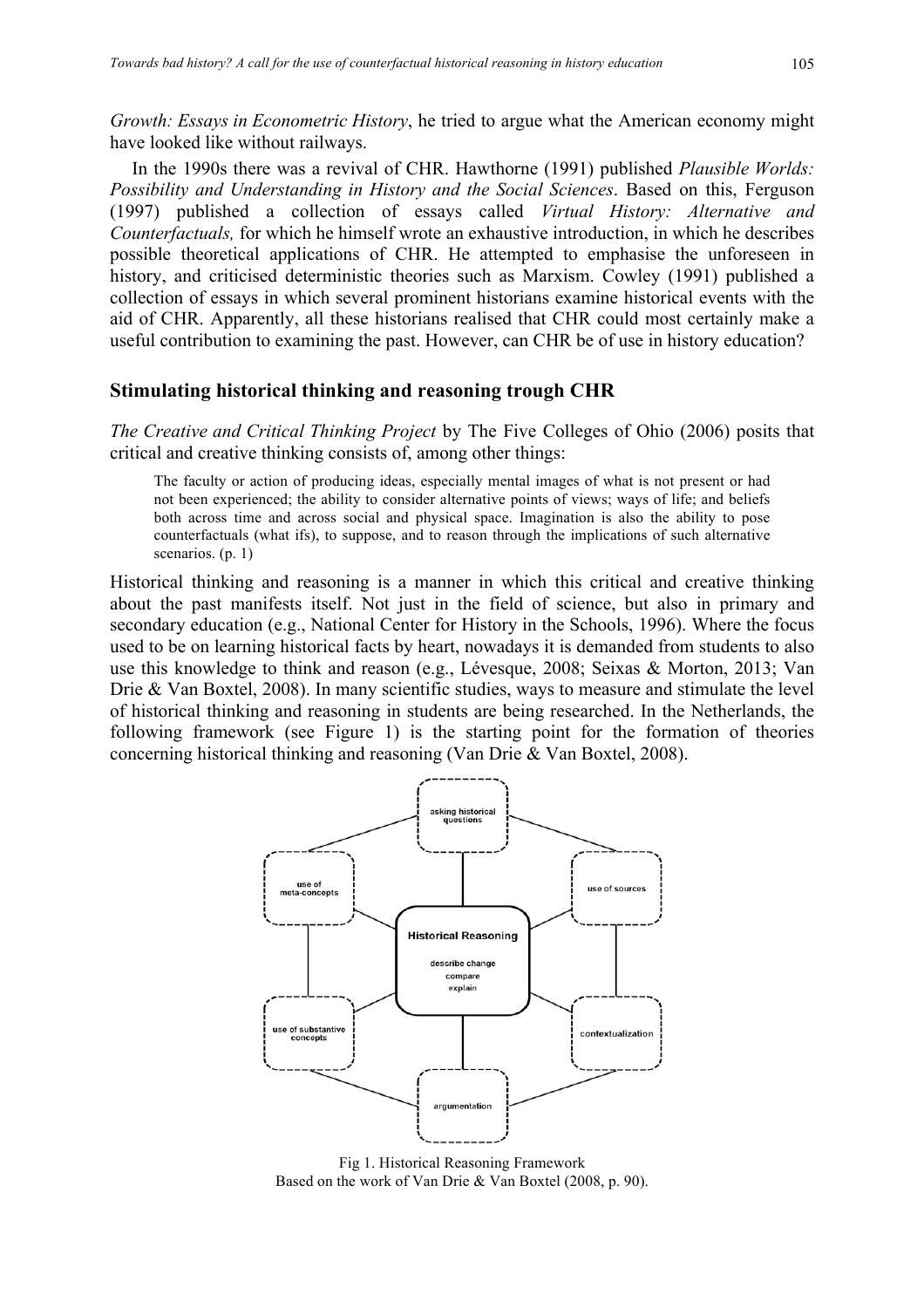*Growth: Essays in Econometric History*, he tried to argue what the American economy might have looked like without railways.

In the 1990s there was a revival of CHR. Hawthorne (1991) published *Plausible Worlds: Possibility and Understanding in History and the Social Sciences*. Based on this, Ferguson (1997) published a collection of essays called *Virtual History: Alternative and Counterfactuals,* for which he himself wrote an exhaustive introduction, in which he describes possible theoretical applications of CHR. He attempted to emphasise the unforeseen in history, and criticised deterministic theories such as Marxism. Cowley (1991) published a collection of essays in which several prominent historians examine historical events with the aid of CHR. Apparently, all these historians realised that CHR could most certainly make a useful contribution to examining the past. However, can CHR be of use in history education?

### **Stimulating historical thinking and reasoning trough CHR**

*The Creative and Critical Thinking Project* by The Five Colleges of Ohio (2006) posits that critical and creative thinking consists of, among other things:

The faculty or action of producing ideas, especially mental images of what is not present or had not been experienced; the ability to consider alternative points of views; ways of life; and beliefs both across time and across social and physical space. Imagination is also the ability to pose counterfactuals (what ifs), to suppose, and to reason through the implications of such alternative scenarios. (p. 1)

Historical thinking and reasoning is a manner in which this critical and creative thinking about the past manifests itself. Not just in the field of science, but also in primary and secondary education (e.g., National Center for History in the Schools, 1996). Where the focus used to be on learning historical facts by heart, nowadays it is demanded from students to also use this knowledge to think and reason (e.g., Lévesque, 2008; Seixas & Morton, 2013; Van Drie & Van Boxtel, 2008). In many scientific studies, ways to measure and stimulate the level of historical thinking and reasoning in students are being researched. In the Netherlands, the following framework (see Figure 1) is the starting point for the formation of theories concerning historical thinking and reasoning (Van Drie & Van Boxtel, 2008).



Fig 1. Historical Reasoning Framework Based on the work of Van Drie & Van Boxtel (2008, p. 90).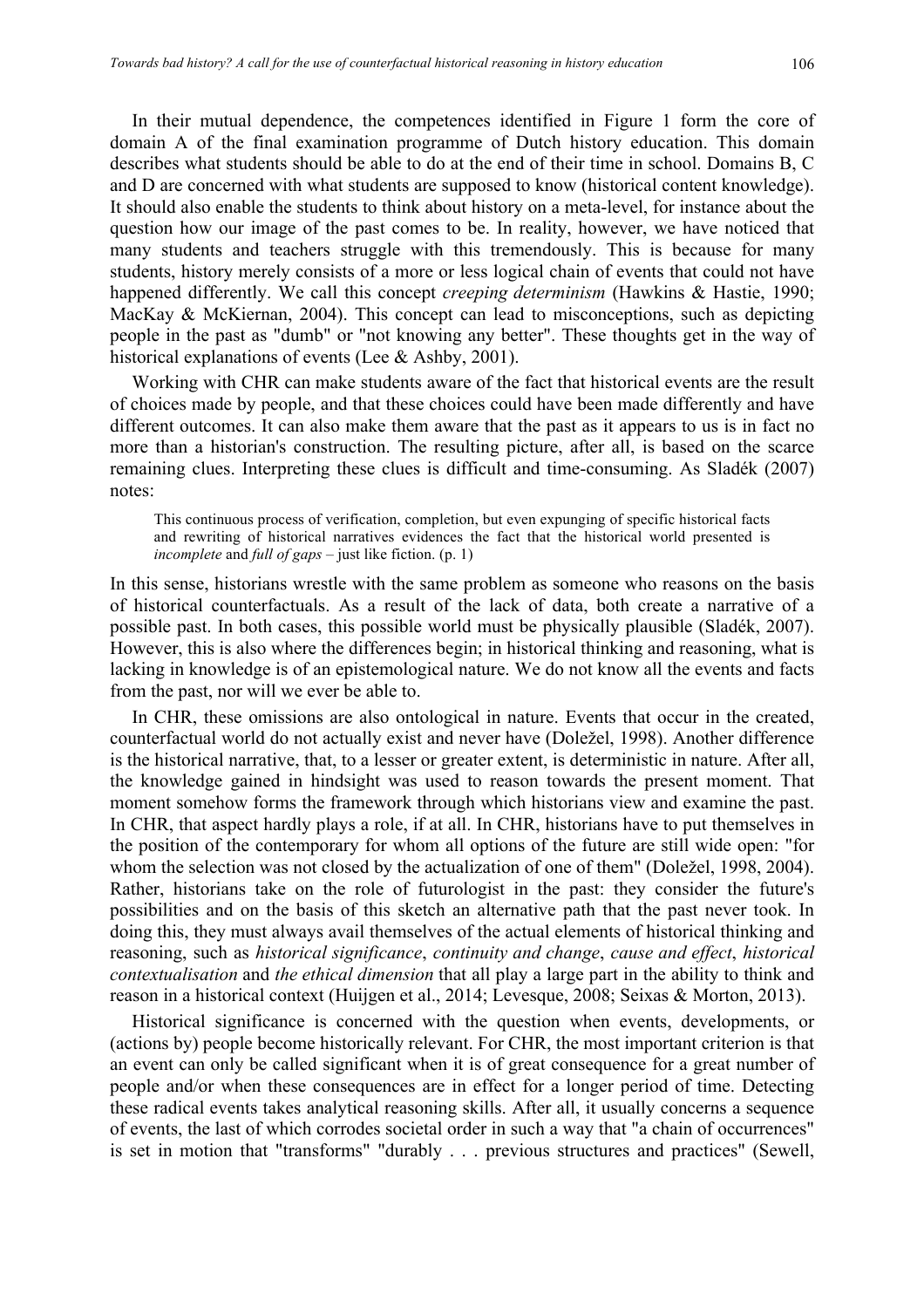In their mutual dependence, the competences identified in Figure 1 form the core of domain A of the final examination programme of Dutch history education. This domain describes what students should be able to do at the end of their time in school. Domains B, C and D are concerned with what students are supposed to know (historical content knowledge). It should also enable the students to think about history on a meta-level, for instance about the question how our image of the past comes to be. In reality, however, we have noticed that many students and teachers struggle with this tremendously. This is because for many students, history merely consists of a more or less logical chain of events that could not have happened differently. We call this concept *creeping determinism* (Hawkins & Hastie, 1990; MacKay & McKiernan, 2004). This concept can lead to misconceptions, such as depicting people in the past as "dumb" or "not knowing any better". These thoughts get in the way of historical explanations of events (Lee & Ashby, 2001).

Working with CHR can make students aware of the fact that historical events are the result of choices made by people, and that these choices could have been made differently and have different outcomes. It can also make them aware that the past as it appears to us is in fact no more than a historian's construction. The resulting picture, after all, is based on the scarce remaining clues. Interpreting these clues is difficult and time-consuming. As Sladék (2007) notes:

This continuous process of verification, completion, but even expunging of specific historical facts and rewriting of historical narratives evidences the fact that the historical world presented is *incomplete* and *full of gaps* – just like fiction. (p. 1)

In this sense, historians wrestle with the same problem as someone who reasons on the basis of historical counterfactuals. As a result of the lack of data, both create a narrative of a possible past. In both cases, this possible world must be physically plausible (Sladék, 2007). However, this is also where the differences begin; in historical thinking and reasoning, what is lacking in knowledge is of an epistemological nature. We do not know all the events and facts from the past, nor will we ever be able to.

In CHR, these omissions are also ontological in nature. Events that occur in the created, counterfactual world do not actually exist and never have (Doležel, 1998). Another difference is the historical narrative, that, to a lesser or greater extent, is deterministic in nature. After all, the knowledge gained in hindsight was used to reason towards the present moment. That moment somehow forms the framework through which historians view and examine the past. In CHR, that aspect hardly plays a role, if at all. In CHR, historians have to put themselves in the position of the contemporary for whom all options of the future are still wide open: "for whom the selection was not closed by the actualization of one of them" (Doležel, 1998, 2004). Rather, historians take on the role of futurologist in the past: they consider the future's possibilities and on the basis of this sketch an alternative path that the past never took. In doing this, they must always avail themselves of the actual elements of historical thinking and reasoning, such as *historical significance*, *continuity and change*, *cause and effect*, *historical contextualisation* and *the ethical dimension* that all play a large part in the ability to think and reason in a historical context (Huijgen et al., 2014; Levesque, 2008; Seixas & Morton, 2013).

Historical significance is concerned with the question when events, developments, or (actions by) people become historically relevant. For CHR, the most important criterion is that an event can only be called significant when it is of great consequence for a great number of people and/or when these consequences are in effect for a longer period of time. Detecting these radical events takes analytical reasoning skills. After all, it usually concerns a sequence of events, the last of which corrodes societal order in such a way that "a chain of occurrences" is set in motion that "transforms" "durably . . . previous structures and practices" (Sewell,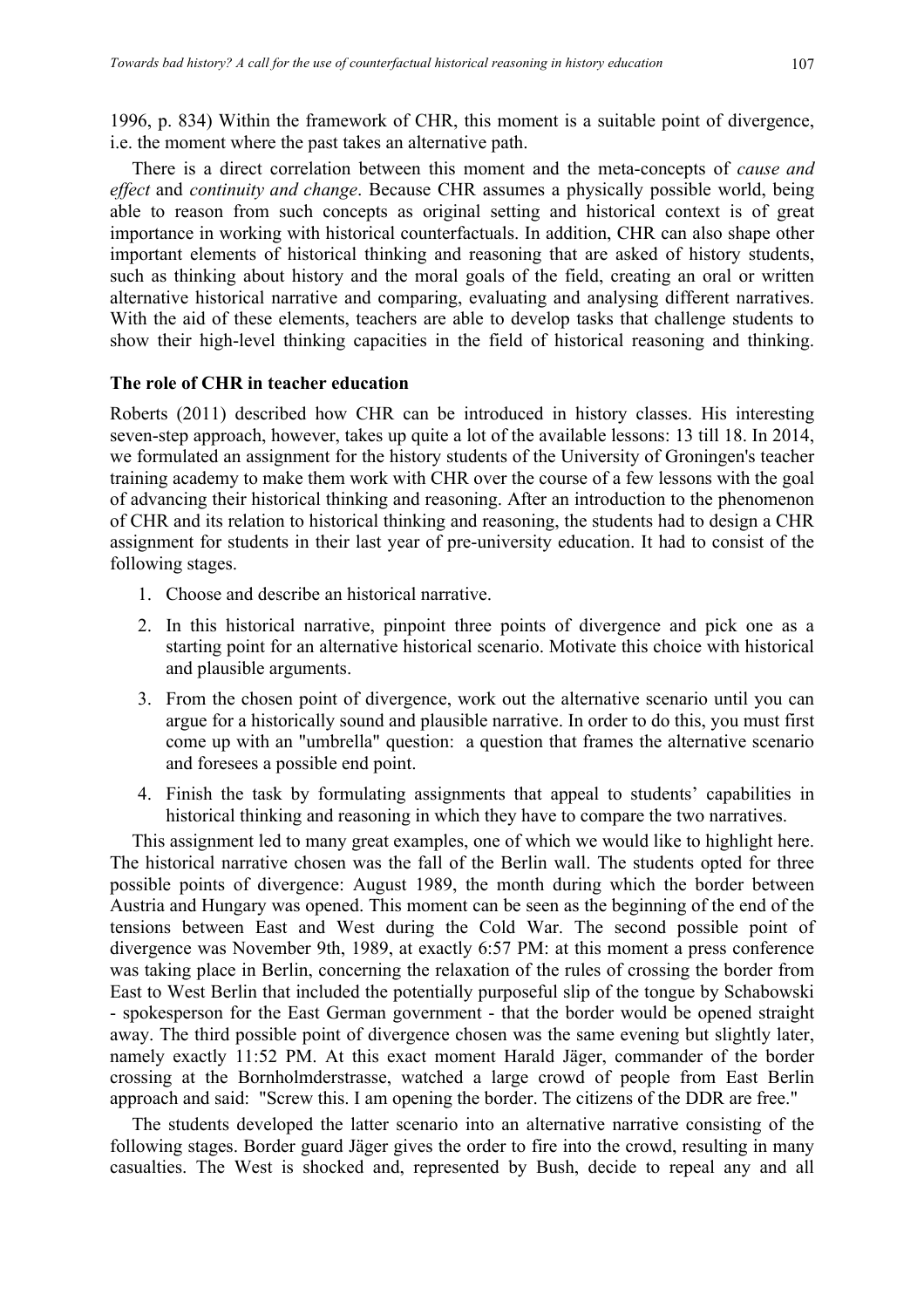1996, p. 834) Within the framework of CHR, this moment is a suitable point of divergence, i.e. the moment where the past takes an alternative path.

There is a direct correlation between this moment and the meta-concepts of *cause and effect* and *continuity and change*. Because CHR assumes a physically possible world, being able to reason from such concepts as original setting and historical context is of great importance in working with historical counterfactuals. In addition, CHR can also shape other important elements of historical thinking and reasoning that are asked of history students, such as thinking about history and the moral goals of the field, creating an oral or written alternative historical narrative and comparing, evaluating and analysing different narratives. With the aid of these elements, teachers are able to develop tasks that challenge students to show their high-level thinking capacities in the field of historical reasoning and thinking.

## **The role of CHR in teacher education**

Roberts (2011) described how CHR can be introduced in history classes. His interesting seven-step approach, however, takes up quite a lot of the available lessons: 13 till 18. In 2014, we formulated an assignment for the history students of the University of Groningen's teacher training academy to make them work with CHR over the course of a few lessons with the goal of advancing their historical thinking and reasoning. After an introduction to the phenomenon of CHR and its relation to historical thinking and reasoning, the students had to design a CHR assignment for students in their last year of pre-university education. It had to consist of the following stages.

- 1. Choose and describe an historical narrative.
- 2. In this historical narrative, pinpoint three points of divergence and pick one as a starting point for an alternative historical scenario. Motivate this choice with historical and plausible arguments.
- 3. From the chosen point of divergence, work out the alternative scenario until you can argue for a historically sound and plausible narrative. In order to do this, you must first come up with an "umbrella" question: a question that frames the alternative scenario and foresees a possible end point.
- 4. Finish the task by formulating assignments that appeal to students' capabilities in historical thinking and reasoning in which they have to compare the two narratives.

This assignment led to many great examples, one of which we would like to highlight here. The historical narrative chosen was the fall of the Berlin wall. The students opted for three possible points of divergence: August 1989, the month during which the border between Austria and Hungary was opened. This moment can be seen as the beginning of the end of the tensions between East and West during the Cold War. The second possible point of divergence was November 9th, 1989, at exactly 6:57 PM: at this moment a press conference was taking place in Berlin, concerning the relaxation of the rules of crossing the border from East to West Berlin that included the potentially purposeful slip of the tongue by Schabowski - spokesperson for the East German government - that the border would be opened straight away. The third possible point of divergence chosen was the same evening but slightly later, namely exactly 11:52 PM. At this exact moment Harald Jäger, commander of the border crossing at the Bornholmderstrasse, watched a large crowd of people from East Berlin approach and said: "Screw this. I am opening the border. The citizens of the DDR are free."

The students developed the latter scenario into an alternative narrative consisting of the following stages. Border guard Jäger gives the order to fire into the crowd, resulting in many casualties. The West is shocked and, represented by Bush, decide to repeal any and all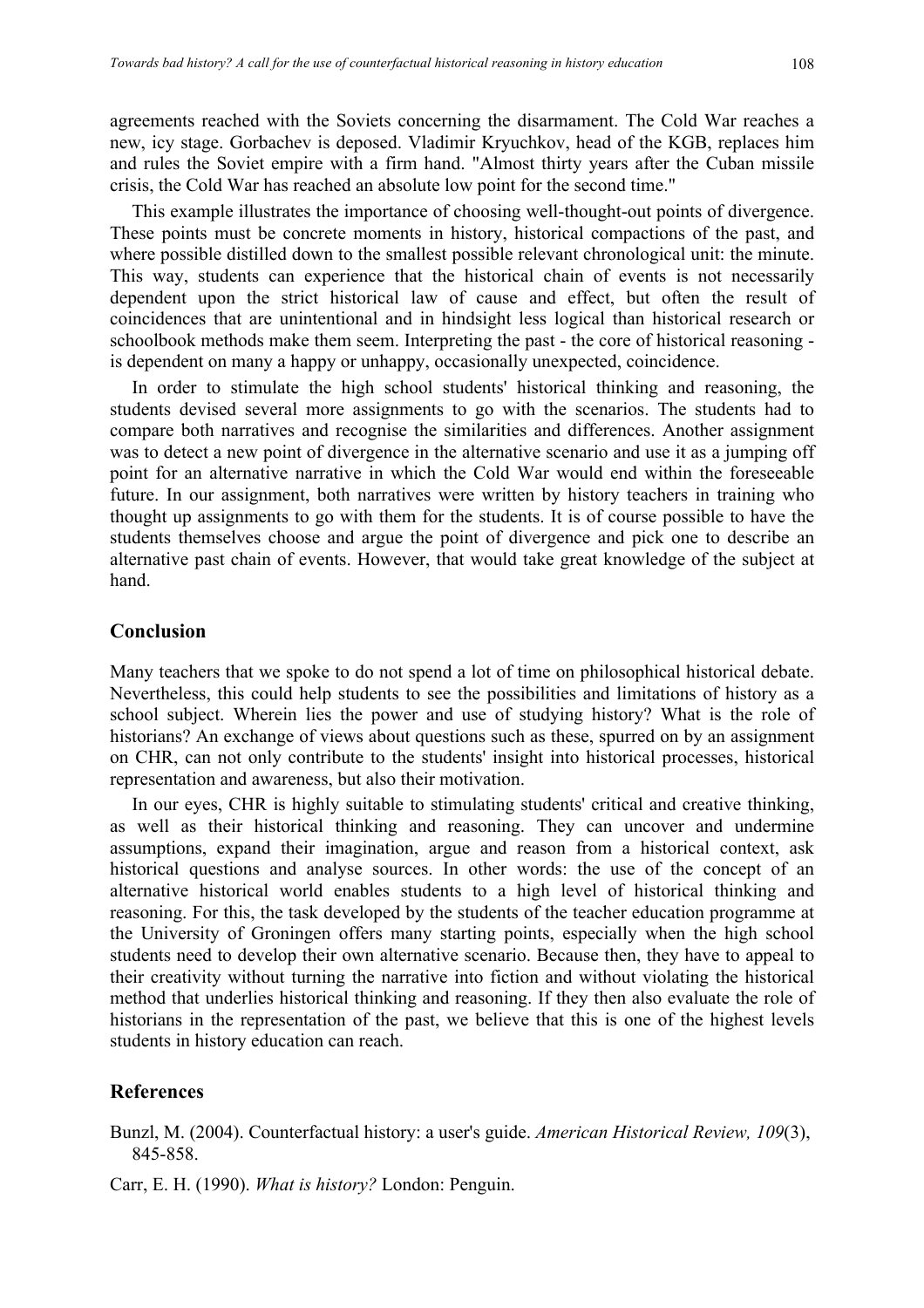agreements reached with the Soviets concerning the disarmament. The Cold War reaches a new, icy stage. Gorbachev is deposed. Vladimir Kryuchkov, head of the KGB, replaces him and rules the Soviet empire with a firm hand. "Almost thirty years after the Cuban missile crisis, the Cold War has reached an absolute low point for the second time."

This example illustrates the importance of choosing well-thought-out points of divergence. These points must be concrete moments in history, historical compactions of the past, and where possible distilled down to the smallest possible relevant chronological unit: the minute. This way, students can experience that the historical chain of events is not necessarily dependent upon the strict historical law of cause and effect, but often the result of coincidences that are unintentional and in hindsight less logical than historical research or schoolbook methods make them seem. Interpreting the past - the core of historical reasoning is dependent on many a happy or unhappy, occasionally unexpected, coincidence.

In order to stimulate the high school students' historical thinking and reasoning, the students devised several more assignments to go with the scenarios. The students had to compare both narratives and recognise the similarities and differences. Another assignment was to detect a new point of divergence in the alternative scenario and use it as a jumping off point for an alternative narrative in which the Cold War would end within the foreseeable future. In our assignment, both narratives were written by history teachers in training who thought up assignments to go with them for the students. It is of course possible to have the students themselves choose and argue the point of divergence and pick one to describe an alternative past chain of events. However, that would take great knowledge of the subject at hand.

# **Conclusion**

Many teachers that we spoke to do not spend a lot of time on philosophical historical debate. Nevertheless, this could help students to see the possibilities and limitations of history as a school subject. Wherein lies the power and use of studying history? What is the role of historians? An exchange of views about questions such as these, spurred on by an assignment on CHR, can not only contribute to the students' insight into historical processes, historical representation and awareness, but also their motivation.

In our eyes, CHR is highly suitable to stimulating students' critical and creative thinking, as well as their historical thinking and reasoning. They can uncover and undermine assumptions, expand their imagination, argue and reason from a historical context, ask historical questions and analyse sources. In other words: the use of the concept of an alternative historical world enables students to a high level of historical thinking and reasoning. For this, the task developed by the students of the teacher education programme at the University of Groningen offers many starting points, especially when the high school students need to develop their own alternative scenario. Because then, they have to appeal to their creativity without turning the narrative into fiction and without violating the historical method that underlies historical thinking and reasoning. If they then also evaluate the role of historians in the representation of the past, we believe that this is one of the highest levels students in history education can reach.

#### **References**

- Bunzl, M. (2004). Counterfactual history: a user's guide. *American Historical Review, 109*(3), 845-858.
- Carr, E. H. (1990). *What is history?* London: Penguin.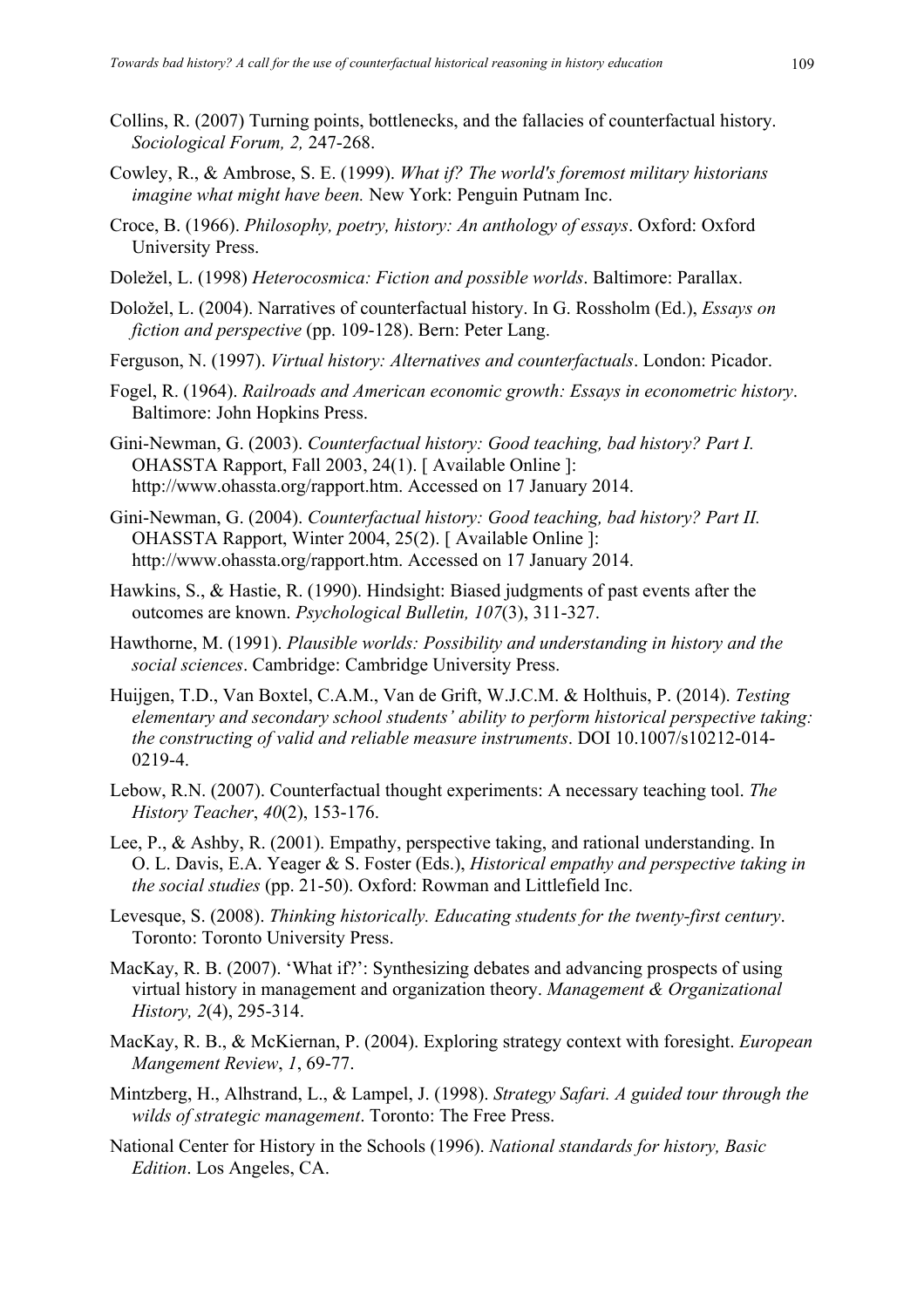- Collins, R. (2007) Turning points, bottlenecks, and the fallacies of counterfactual history. *Sociological Forum, 2,* 247-268.
- Cowley, R., & Ambrose, S. E. (1999). *What if? The world's foremost military historians imagine what might have been.* New York: Penguin Putnam Inc.
- Croce, B. (1966). *Philosophy, poetry, history: An anthology of essays*. Oxford: Oxford University Press.
- Doležel, L. (1998) *Heterocosmica: Fiction and possible worlds*. Baltimore: Parallax.
- Doložel, L. (2004). Narratives of counterfactual history. In G. Rossholm (Ed.), *Essays on fiction and perspective* (pp. 109-128). Bern: Peter Lang.
- Ferguson, N. (1997). *Virtual history: Alternatives and counterfactuals*. London: Picador.
- Fogel, R. (1964). *Railroads and American economic growth: Essays in econometric history*. Baltimore: John Hopkins Press.
- Gini-Newman, G. (2003). *Counterfactual history: Good teaching, bad history? Part I.* OHASSTA Rapport, Fall 2003, 24(1). [ Available Online ]: http://www.ohassta.org/rapport.htm. Accessed on 17 January 2014.
- Gini-Newman, G. (2004). *Counterfactual history: Good teaching, bad history? Part II.*  OHASSTA Rapport, Winter 2004, 25(2). [ Available Online ]: http://www.ohassta.org/rapport.htm. Accessed on 17 January 2014.
- Hawkins, S., & Hastie, R. (1990). Hindsight: Biased judgments of past events after the outcomes are known. *Psychological Bulletin, 107*(3), 311-327.
- Hawthorne, M. (1991). *Plausible worlds: Possibility and understanding in history and the social sciences*. Cambridge: Cambridge University Press.
- Huijgen, T.D., Van Boxtel, C.A.M., Van de Grift, W.J.C.M. & Holthuis, P. (2014). *Testing elementary and secondary school students' ability to perform historical perspective taking: the constructing of valid and reliable measure instruments*. DOI 10.1007/s10212-014- 0219-4.
- Lebow, R.N. (2007). Counterfactual thought experiments: A necessary teaching tool. *The History Teacher*, *40*(2), 153-176.
- Lee, P., & Ashby, R. (2001). Empathy, perspective taking, and rational understanding. In O. L. Davis, E.A. Yeager & S. Foster (Eds.), *Historical empathy and perspective taking in the social studies* (pp. 21-50). Oxford: Rowman and Littlefield Inc.
- Levesque, S. (2008). *Thinking historically. Educating students for the twenty-first century*. Toronto: Toronto University Press.
- MacKay, R. B. (2007). 'What if?': Synthesizing debates and advancing prospects of using virtual history in management and organization theory. *Management & Organizational History, 2*(4), 295-314.
- MacKay, R. B., & McKiernan, P. (2004). Exploring strategy context with foresight. *European Mangement Review*, *1*, 69-77.
- Mintzberg, H., Alhstrand, L., & Lampel, J. (1998). *Strategy Safari. A guided tour through the wilds of strategic management*. Toronto: The Free Press.
- National Center for History in the Schools (1996). *National standards for history, Basic Edition*. Los Angeles, CA.